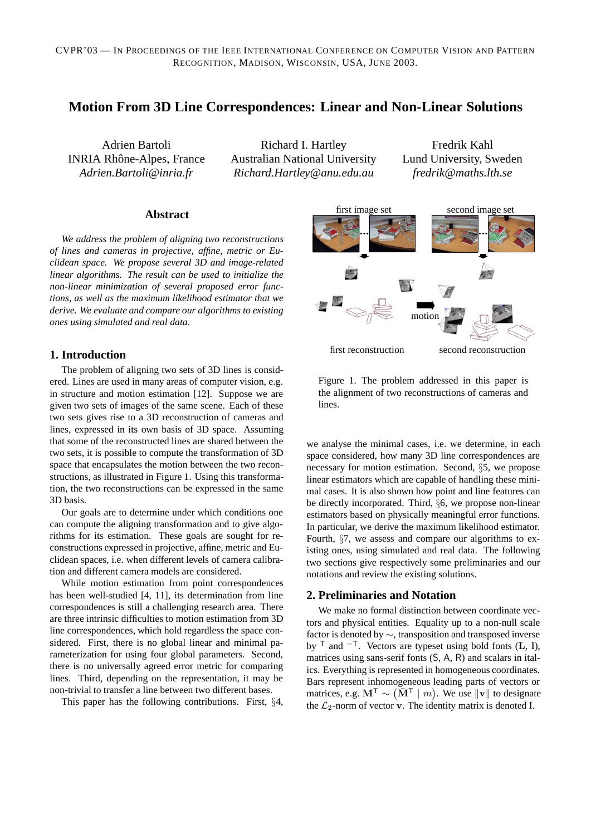# **Motion From 3D Line Correspondences: Linear and Non-Linear Solutions**

Adrien Bartoli INRIA Rhône-Alpes, France *Adrien.Bartoli@inria.fr*

Richard I. Hartley Australian National University *Richard.Hartley@anu.edu.au*

Fredrik Kahl Lund University, Sweden *fredrik@maths.lth.se*

## **Abstract**

*We address the problem of aligning two reconstructions of lines and cameras in projective, affine, metric or Euclidean space. We propose several 3D and image-related linear algorithms. The result can be used to initialize the non-linear minimization of several proposed error functions, as well as the maximum likelihood estimator that we derive. We evaluate and compare our algorithms to existing ones using simulated and real data.*

### **1. Introduction**

The problem of aligning two sets of 3D lines is considered. Lines are used in many areas of computer vision, e.g. in structure and motion estimation [12]. Suppose we are given two sets of images of the same scene. Each of these two sets gives rise to a 3D reconstruction of cameras and lines, expressed in its own basis of 3D space. Assuming that some of the reconstructed lines are shared between the two sets, it is possible to compute the transformation of 3D space that encapsulates the motion between the two reconstructions, as illustrated in Figure 1. Using this transformation, the two reconstructions can be expressed in the same 3D basis.

Our goals are to determine under which conditions one can compute the aligning transformation and to give algorithms for its estimation. These goals are sought for reconstructions expressed in projective, affine, metric and Euclidean spaces, i.e. when different levels of camera calibration and different camera models are considered.

While motion estimation from point correspondences has been well-studied [4, 11], its determination from line correspondences is still a challenging research area. There are three intrinsic difficulties to motion estimation from 3D line correspondences, which hold regardless the space considered. First, there is no global linear and minimal parameterization for using four global parameters. Second, there is no universally agreed error metric for comparing lines. Third, depending on the representation, it may be non-trivial to transfer a line between two different bases.

This paper has the following contributions. First, §4,





we analyse the minimal cases, i.e. we determine, in each space considered, how many 3D line correspondences are necessary for motion estimation. Second, §5, we propose linear estimators which are capable of handling these minimal cases. It is also shown how point and line features can be directly incorporated. Third, §6, we propose non-linear estimators based on physically meaningful error functions. In particular, we derive the maximum likelihood estimator. Fourth, §7, we assess and compare our algorithms to existing ones, using simulated and real data. The following two sections give respectively some preliminaries and our notations and review the existing solutions.

### **2. Preliminaries and Notation**

We make no formal distinction between coordinate vectors and physical entities. Equality up to a non-null scale factor is denoted by ∼, transposition and transposed inverse by <sup>T</sup> and  $^{-T}$ . Vectors are typeset using bold fonts (**L**, **l**), matrices using sans-serif fonts (S, A, R) and scalars in italics. Everything is represented in homogeneous coordinates. Bars represent inhomogeneous leading parts of vectors or matrices, e.g.  $M^T$  ∼ ( $\overline{M}^T \mid m$ ). We use  $||v||$  to designate the *C*<sub>o-</sub>norm of vector **v**. The identity matrix is denoted I the  $\mathcal{L}_2$ -norm of vector **v**. The identity matrix is denoted I.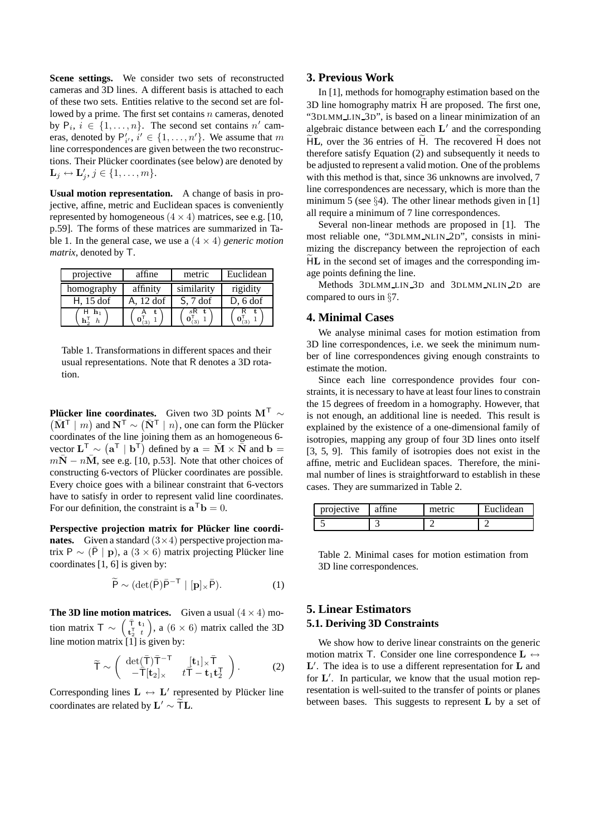**Scene settings.** We consider two sets of reconstructed cameras and 3D lines. A different basis is attached to each of these two sets. Entities relative to the second set are followed by a prime. The first set contains  $n$  cameras, denoted by  $P_i$ ,  $i \in \{1, \ldots, n\}$ . The second set contains n' cameras, denoted by  $P'_{i'}$ ,  $i' \in \{1, ..., n'\}$ . We assume that m line correspondences are given between the two reconstructions. Their Plücker coordinates (see below) are denoted by  $\mathbf{L}_j \leftrightarrow \mathbf{L}'_j, j \in \{1, \ldots, m\}.$ 

**Usual motion representation.** A change of basis in projective, affine, metric and Euclidean spaces is conveniently represented by homogeneous  $(4 \times 4)$  matrices, see e.g. [10, p.59]. The forms of these matrices are summarized in Table 1. In the general case, we use a  $(4 \times 4)$  *generic motion matrix*, denoted by T.

| projective   | affine    | metric                       | Euclidean  |
|--------------|-----------|------------------------------|------------|
| homography   | affinity  | similarity                   | rigidity   |
| $H$ , 15 dof | A. 12 dof | $S, 7$ dof                   | $D, 6$ dof |
| $h_1$        | (3)       | .sR t.<br>$\mathbf{0}_{(3)}$ | ί3         |

Table 1. Transformations in different spaces and their usual representations. Note that R denotes a 3D rotation.

**Plücker line coordinates.** Given two 3D points **M<sup>T</sup>** ∼  $(\overline{\mathbf{M}}^T \mid m)$  and  $\mathbf{N}^T \sim (\overline{\mathbf{N}}^T \mid n)$  one can form the Plücker  $(\bar{\mathbf{M}}^{\mathsf{T}} \mid m)$  and  $\mathbf{N}^{\mathsf{T}} \sim (\bar{\mathbf{N}}^{\mathsf{T}} \mid n)$ , one can form the Plücker coordinates of the line joining them as an homogeneous 6coordinates of the line joining them as an homogeneous 6 vector  $\mathbf{L}^T \sim (\mathbf{a}^T | \mathbf{b}^T)$  defined by  $\mathbf{a} = \mathbf{M} \times \mathbf{N}$  and  $\mathbf{b} = m\mathbf{N} - n\mathbf{M}$ , see e.g. [10, p.53]. Note that other choices of  $m\bar{N} - n\bar{M}$ , see e.g. [10, p.53]. Note that other choices of constructing 6-vectors of Plücker coordinates are possible. Every choice goes with a bilinear constraint that 6-vectors have to satisfy in order to represent valid line coordinates. For our definition, the constraint is  $\mathbf{a}^T \mathbf{b} = 0$ .

Perspective projection matrix for Plücker line coordi**nates.** Given a standard  $(3 \times 4)$  perspective projection matrix P ∼ ( $\bar{P}$  | **p**), a (3 × 6) matrix projecting Plücker line coordinates  $[1, 6]$  is given by:

$$
\widetilde{\mathsf{P}} \sim (\det(\bar{\mathsf{P}})\bar{\mathsf{P}}^{-\mathsf{T}} \mid [\mathbf{p}]_{\times} \bar{\mathsf{P}}).
$$
 (1)

**The 3D line motion matrices.** Given a usual  $(4 \times 4)$  motion matrix T  $\sim \begin{pmatrix} \bar{\tau} & \mathbf{t}_1 \\ \mathbf{t}_2^{\mathsf{T}} & t \end{pmatrix}$ ), a  $(6 \times 6)$  matrix called the 3D line motion matrix [1] is given by:

$$
\widetilde{\mathsf{T}} \sim \begin{pmatrix} \det(\overline{\mathsf{T}}) \overline{\mathsf{T}}^{-\mathsf{T}} & [\mathbf{t}_1] \times \overline{\mathsf{T}} \\ -\overline{\mathsf{T}}[\mathbf{t}_2] \times & t \overline{\mathsf{T}} - \mathbf{t}_1 \mathbf{t}_2^{\mathsf{T}} \end{pmatrix} . \tag{2}
$$

Corresponding lines  $L \leftrightarrow L'$  represented by Plücker line coordinates are related by  $\mathbf{L}' \sim \widetilde{\mathbf{T}} \mathbf{L}$ .

### **3. Previous Work**

In [1], methods for homography estimation based on the 3D line homography matrix <sup>H</sup> are proposed. The first one, "3DLMM LIN 3D", is based on a linear minimization of an algebraic distance between each  $L'$  and the corresponding <sup>H</sup>**L**, over the 36 entries of <sup>H</sup>. The recovered <sup>H</sup> does not therefore satisfy Equation (2) and subsequently it needs to be adjusted to represent a valid motion. One of the problems with this method is that, since 36 unknowns are involved, 7 line correspondences are necessary, which is more than the minimum 5 (see §4). The other linear methods given in [1] all require a minimum of 7 line correspondences.

Several non-linear methods are proposed in [1]. The most reliable one, "3DLMM NLIN 2D", consists in minimizing the discrepancy between the reprojection of each <sup>H</sup>**L** in the second set of images and the corresponding image points defining the line.

Methods 3DLMM LIN 3D and 3DLMM NLIN 2D are compared to ours in §7.

### **4. Minimal Cases**

We analyse minimal cases for motion estimation from 3D line correspondences, i.e. we seek the minimum number of line correspondences giving enough constraints to estimate the motion.

Since each line correspondence provides four constraints, it is necessary to have at least four lines to constrain the 15 degrees of freedom in a homography. However, that is not enough, an additional line is needed. This result is explained by the existence of a one-dimensional family of isotropies, mapping any group of four 3D lines onto itself [3, 5, 9]. This family of isotropies does not exist in the affine, metric and Euclidean spaces. Therefore, the minimal number of lines is straightforward to establish in these cases. They are summarized in Table 2.

| projective | affine | metric | Euclidean |
|------------|--------|--------|-----------|
|            |        |        |           |

Table 2. Minimal cases for motion estimation from 3D line correspondences.

## **5. Linear Estimators 5.1. Deriving 3D Constraints**

We show how to derive linear constraints on the generic motion matrix <sup>T</sup>. Consider one line correspondence **L** <sup>↔</sup>  $\mathbf{L}'$ . The idea is to use a different representation for  $\mathbf{L}$  and for  $\mathbf{L}'$ . In particular, we know that the usual motion rep for **L'**. In particular, we know that the usual motion rep-<br>resentation is well-suited to the transfer of points or planes resentation is well-suited to the transfer of points or planes between bases. This suggests to represent **L** by a set of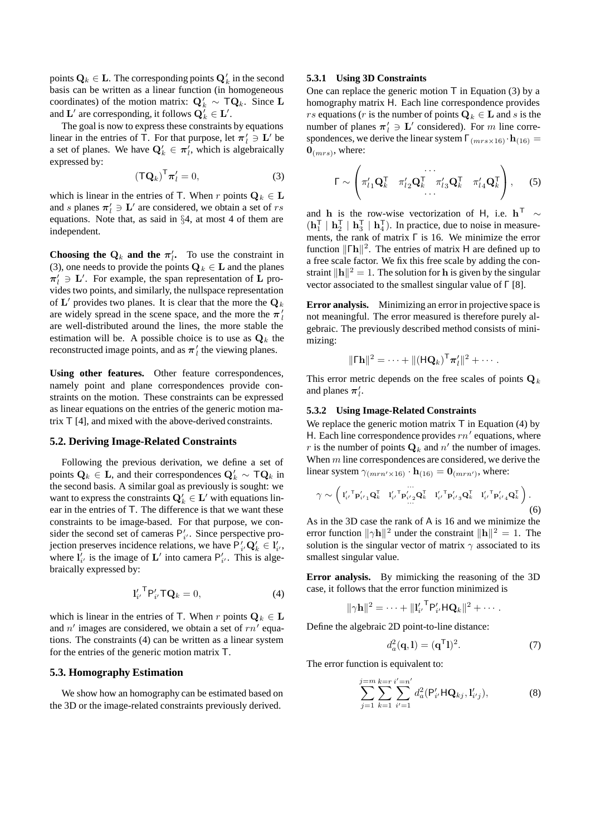points  $\mathbf{Q}_k \in \mathbf{L}$ . The corresponding points  $\mathbf{Q}_k^t$  in the second hasis can be written as a linear function (in homogeneous basis can be written as a linear function (in homogeneous coordinates) of the motion matrix:  $Q'_k \sim TQ_k$ . Since **L**<br>and L' are corresponding it follows  $Q' \in L'$ and **L**' are corresponding, it follows  $\mathbf{Q}_k' \in \mathbf{L}'$ .<br>The goal is now to express these constraints

The goal is now to express these constraints by equations linear in the entries of T. For that purpose, let  $\pi'_l \ni L'$  be a set of planes. We have  $O' \in \pi'$  which is algebraically a set of planes. We have  $\mathbf{Q}'_k \in \pi'_l$ , which is algebraically expressed by: expressed by:

$$
\left(\mathbf{T}\mathbf{Q}_k\right)^{\mathsf{T}}\boldsymbol{\pi}'_l=0,\tag{3}
$$

which is linear in the entries of T. When r points  $\mathbf{Q}_k \in \mathbf{L}$ and s planes  $\pi'_l \ni L'$  are considered, we obtain a set of rs<br>equations. Note that as said in 84, at most 4 of them are equations. Note that, as said in §4, at most 4 of them are independent.

**Choosing the**  $\mathbf{Q}_k$  **<b>and the**  $\pi'_l$ . To use the constraint in (3) one needs to provide the points  $\mathbf{Q}_l \in \mathbf{L}$  and the planes (3), one needs to provide the points  $\mathbf{Q}_k \in \mathbf{L}$  and the planes  $\pi'_{l} \ni L'$ . For example, the span representation of **L** provides two points, and similarly, the nullspace representation of  $\mathbf{L}'$  provides two planes. It is clear that the more the  $\mathbf{Q}_k$ are widely spread in the scene space, and the more the  $\pi'_{l}$ are well-distributed around the lines, the more stable the estimation will be. A possible choice is to use as  $\mathbf{Q}_k$  the reconstructed image points, and as  $\pi'$ <sub>l</sub> the viewing planes.

**Using other features.** Other feature correspondences, namely point and plane correspondences provide constraints on the motion. These constraints can be expressed as linear equations on the entries of the generic motion matrix T [4], and mixed with the above-derived constraints.

#### **5.2. Deriving Image-Related Constraints**

Following the previous derivation, we define a set of points  $\mathbf{Q}_k$  ∈ **L**, and their correspondences  $\mathbf{Q}'_k$  ∼  $\mathbf{TQ}_k$  in the second basis. A similar goal as previously is sought; we the second basis. A similar goal as previously is sought: we want to express the constraints  $\mathbf{Q}'_k \in \mathbf{L}'$  with equations lin-<br>ear in the entries of  $\mathbf{T}$ . The difference is that we want these ear in the entries of T. The difference is that we want these constraints to be image-based. For that purpose, we consider the second set of cameras  $P'_{i'}$ . Since perspective projection preserves incidence relations, we have  $P'_i, Q'_k \in I'_i$ , where  $I'$  is the image of  $I'_i$  into camera  $P'_i$ . This is algewhere  $\mathbf{l}'_i$  is the image of  $\mathbf{L}'$  into camera  $\mathbf{P}'_i$ . This is algebraically expressed by: braically expressed by:

$$
\mathbf{l}'_{i'}^{\mathsf{T}} \mathsf{P}'_{i'} \mathsf{T} \mathbf{Q}_k = 0, \tag{4}
$$

which is linear in the entries of T. When r points  $Q_k \in L$ and  $n'$  images are considered, we obtain a set of  $rn'$  equations. The constraints (4) can be written as a linear system for the entries of the generic motion matrix T.

#### **5.3. Homography Estimation**

We show how an homography can be estimated based on the 3D or the image-related constraints previously derived.

#### **5.3.1 Using 3D Constraints**

One can replace the generic motion  $\top$  in Equation (3) by a homography matrix H. Each line correspondence provides rs equations (r is the number of points  $Q_k \in L$  and s is the number of planes  $\pi'_l \ni L'$  considered). For m line corre-<br>spondences we derive the linear system  $\Gamma$ spondences, we derive the linear system  $\Gamma_{(mrs \times 16)} \cdot \mathbf{h}_{(16)} =$  $\mathbf{0}_{(mrs)}$ , where:

$$
\Gamma \sim \left( \pi'_{l1} \mathbf{Q}_k^{\mathsf{T}} \quad \pi'_{l2} \mathbf{Q}_k^{\mathsf{T}} \quad \pi'_{l3} \mathbf{Q}_k^{\mathsf{T}} \quad \pi'_{l4} \mathbf{Q}_k^{\mathsf{T}} \right), \quad (5)
$$

and **<sup>h</sup>** is the row-wise vectorization of <sup>H</sup>, i.e. **<sup>h</sup>**<sup>T</sup> <sup>∼</sup>  $(\mathbf{h}_1^{\mathsf{T}} \mid \mathbf{h}_2^{\mathsf{T}} \mid \mathbf{h}_3^{\mathsf{T}} \mid \mathbf{h}_4^{\mathsf{T}})$ . In practice, due to noise in measurements, the rank of matrix Γ is 16. We minimize the error function  $\|\Gamma h\|^2$ . The entries of matrix H are defined up to a free scale factor. We fix this free scale by adding the cona free scale factor. We fix this free scale by adding the constraint  $\|\mathbf{h}\|^2 = 1$ . The solution for **h** is given by the singular vector associated to the smallest singular value of  $\Gamma$  [8] vector associated to the smallest singular value of Γ [8].

**Error analysis.** Minimizing an error in projective space is not meaningful. The error measured is therefore purely algebraic. The previously described method consists of minimizing:

$$
\|\mathbf{\Gamma}\mathbf{h}\|^2 = \cdots + \|(\mathbf{H}\mathbf{Q}_k)^{\mathsf{T}}\boldsymbol{\pi}'_l\|^2 + \cdots
$$

This error metric depends on the free scales of points  $\mathbf{Q}_k$ and planes  $\pi_l'$ .

#### **5.3.2 Using Image-Related Constraints**

We replace the generic motion matrix  $\top$  in Equation (4) by H. Each line correspondence provides  $rn'$  equations, where r is the number of points  $\mathbf{Q}_k$  and n' the number of images. When  $m$  line correspondences are considered, we derive the linear system  $\gamma_{(mrn' \times 16)} \cdot \mathbf{h}_{(16)} = \mathbf{0}_{(mrn')}$ , where:

$$
\gamma \sim \left( \mathbf{1}_{i'}^{\prime \top} \mathbf{p}_{i' \mathbf{1}}^{\prime} \mathbf{Q}_{k}^{\top} - \mathbf{1}_{i'}^{\prime \top} \mathbf{p}_{i' \mathbf{2}}^{\prime \prime} \mathbf{Q}_{k}^{\top} - \mathbf{1}_{i'}^{\prime \top} \mathbf{p}_{i' \mathbf{3}}^{\prime} \mathbf{Q}_{k}^{\top} - \mathbf{1}_{i'}^{\prime \top} \mathbf{p}_{i' \mathbf{4}}^{\prime} \mathbf{Q}_{k}^{\top} \right).
$$
\n(6)

As in the 3D case the rank of A is 16 and we minimize the error function  $\|\gamma h\|^2$  under the constraint  $\|\mathbf{h}\|^2 = 1$ . The solution is the singular vector of matrix  $\alpha$  associated to its solution is the singular vector of matrix  $\gamma$  associated to its smallest singular value.

**Error analysis.** By mimicking the reasoning of the 3D case, it follows that the error function minimized is

$$
\|\gamma \mathbf{h}\|^2 = \cdots + \|\mathbf{l}'_{i'}^{\mathsf{T}} \mathsf{P}'_{i'} \mathsf{H} \mathbf{Q}_k\|^2 + \cdots.
$$

Define the algebraic 2D point-to-line distance:

$$
d_a^2(\mathbf{q}, \mathbf{l}) = (\mathbf{q}^\mathsf{T} \mathbf{l})^2. \tag{7}
$$

The error function is equivalent to:

$$
\sum_{j=1}^{j=m} \sum_{k=1}^{k=r} \sum_{i'=1}^{i'=n'} d_a^2 (P'_{i'}HQ_{kj}, I'_{i'j}),
$$
\n(8)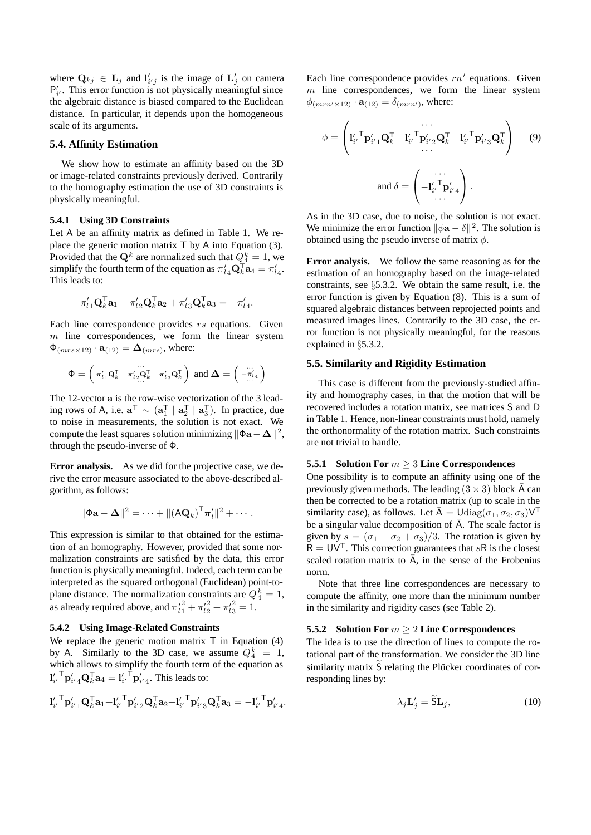where  $\mathbf{Q}_{kj} \in \mathbf{L}_j$  and  $\mathbf{l}'_{i'j}$  is the image of  $\mathbf{L}'_j$  on camera<br>  $\mathbf{P}'$  This error function is not physically meaningful since  $P'_{i'}$ . This error function is not physically meaningful since the algebraic distance is biased compared to the Euclidean distance. In particular, it depends upon the homogeneous scale of its arguments.

#### **5.4. Affinity Estimation**

We show how to estimate an affinity based on the 3D or image-related constraints previously derived. Contrarily to the homography estimation the use of 3D constraints is physically meaningful.

#### **5.4.1 Using 3D Constraints**

Let A be an affinity matrix as defined in Table 1. We replace the generic motion matrix T by A into Equation (3). Provided that the  $\mathbf{Q}^k$  are normalized such that  $\dot{Q}_4^k = 1$ , we simplify the fourth term of the equation as  $\pi'$ ,  $\overline{\mathbf{Q}}_4^T \mathbf{a}_4 - \pi'$ simplify the fourth term of the equation as  $\pi'_{l4} \mathbf{Q}_k^T \mathbf{a}_4 = \pi'_{l4}$ .<br>This leads to: This leads to:

$$
\pi'_{l1}\mathbf{Q}_k^{\mathsf{T}}\mathbf{a}_1 + \pi'_{l2}\mathbf{Q}_k^{\mathsf{T}}\mathbf{a}_2 + \pi'_{l3}\mathbf{Q}_k^{\mathsf{T}}\mathbf{a}_3 = -\pi'_{l4}.
$$

Each line correspondence provides  $rs$  equations. Given  $m$  line correspondences, we form the linear system  $\Phi_{(mrs\times12)} \cdot \mathbf{a}_{(12)} = \mathbf{\Delta}_{(mrs)}$ , where:

$$
\Phi = \begin{pmatrix} \pi'_{l1} \mathbf{Q}_k^{\mathsf{T}} & \pi'_{l2} \mathbf{Q}_k^{\mathsf{T}} & \pi'_{l3} \mathbf{Q}_k^{\mathsf{T}} \end{pmatrix} \text{ and } \boldsymbol{\Delta} = \begin{pmatrix} \dots \\ -\pi'_{l4} \\ \dots \end{pmatrix}
$$

The 12-vector **a** is the row-wise vectorization of the 3 leading rows of A, i.e.  $\mathbf{a}^\text{T} \sim (\mathbf{a}_1^\text{T} | \mathbf{a}_2^\text{T} | \mathbf{a}_3^\text{T})$ . In practice, due to noise in measurements, the solution is not exact. We compute the least squares solution minimizing  $\|\Phi\mathbf{a} - \mathbf{\Delta}\|^2$ ,<br>through the pseudo-inverse of  $\Phi$ through the pseudo-inverse of Φ.

**Error analysis.** As we did for the projective case, we derive the error measure associated to the above-described algorithm, as follows:

$$
\|\Phi \mathbf{a} - \mathbf{\Delta}\|^2 = \cdots + \|(\mathbf{A} \mathbf{Q}_k)^{\mathsf{T}} \boldsymbol{\pi}'_l\|^2 + \cdots
$$

This expression is similar to that obtained for the estimation of an homography. However, provided that some normalization constraints are satisfied by the data, this error function is physically meaningful. Indeed, each term can be interpreted as the squared orthogonal (Euclidean) point-toplane distance. The normalization constraints are  $\overline{Q_4^k} = 1$ , as already required above, and  $\pi_{l_1}^{l_2} + \pi_{l_2}^{l_2} + \pi_{l_3}^{l_3} = 1$ .

#### **5.4.2 Using Image-Related Constraints**

We replace the generic motion matrix  $T$  in Equation (4) by A. Similarly to the 3D case, we assume  $Q_4^k = 1$ , which allows to simplify the fourth term of the equation as  $\mathbf{l}'_{i'}^{\mathsf{T}} \mathbf{p}'_{i'4} \mathbf{Q}_{k}^{\mathsf{T}} \mathbf{a}_{4} = \mathbf{l}'_{i'}^{\mathsf{T}} \mathbf{p}'_{i'4}$ . This leads to:

$$
{l'_{i'}{}^{\mathsf{T}} \mathbf{p}'_{i'1} \mathbf{Q}_k^{\mathsf{T}} \mathbf{a}_1 + {l'_{i'}{}^{\mathsf{T}} \mathbf{p}'_{i'2} \mathbf{Q}_k^{\mathsf{T}} \mathbf{a}_2 + {l'_{i'}{}^{\mathsf{T}} \mathbf{p}'_{i'3} \mathbf{Q}_k^{\mathsf{T}} \mathbf{a}_3} = - {l'_{i'}{}^{\mathsf{T}} \mathbf{p}'_{i'4}}.
$$

Each line correspondence provides  $rn'$  equations. Given  $m$  line correspondences, we form the linear system  $\phi_{(mrn' \times 12)} \cdot \mathbf{a}_{(12)} = \delta_{(mrn')}$ , where:

$$
\phi = \left( \mathbf{l}'_{i'} \mathbf{P}'_{i'1} \mathbf{Q}_k^{\mathsf{T}} \quad \mathbf{l}'_{i'} \mathbf{P}'_{i'2} \mathbf{Q}_k^{\mathsf{T}} \quad \mathbf{l}'_{i'} \mathbf{P}'_{i'3} \mathbf{Q}_k^{\mathsf{T}} \right) \tag{9}
$$
\n
$$
\text{and } \delta = \left( \begin{array}{c} \cdots \\ -\mathbf{l}'_{i'} \mathbf{P}'_{i'4} \\ \cdots \end{array} \right).
$$

As in the 3D case, due to noise, the solution is not exact. We minimize the error function  $\|\phi \mathbf{a} - \delta\|^2$ . The solution is obtained using the pseudo inverse of matrix  $\phi$ obtained using the pseudo inverse of matrix  $\phi$ .

**Error analysis.** We follow the same reasoning as for the estimation of an homography based on the image-related constraints, see §5.3.2. We obtain the same result, i.e. the error function is given by Equation (8). This is a sum of squared algebraic distances between reprojected points and measured images lines. Contrarily to the 3D case, the error function is not physically meaningful, for the reasons explained in §5.3.2.

### **5.5. Similarity and Rigidity Estimation**

This case is different from the previously-studied affinity and homography cases, in that the motion that will be recovered includes a rotation matrix, see matrices S and D in Table 1. Hence, non-linear constraints must hold, namely the orthonormality of the rotation matrix. Such constraints are not trivial to handle.

### **5.5.1 Solution For** m ≥ 3 **Line Correspondences**

One possibility is to compute an affinity using one of the previously given methods. The leading  $(3 \times 3)$  block A can then be corrected to be a rotation matrix (up to scale in the similarity case), as follows. Let  $\bar{A} = \text{Udiag}(\sigma_1, \sigma_2, \sigma_3)\mathsf{V}^\mathsf{T}$ be a singular value decomposition of  $\overline{A}$ . The scale factor is given by  $s = (\sigma_1 + \sigma_2 + \sigma_3)/3$ . The rotation is given by  $R = UV<sup>T</sup>$ . This correction guarantees that sR is the closest scaled rotation matrix to  $\overline{A}$ , in the sense of the Frobenius norm.

Note that three line correspondences are necessary to compute the affinity, one more than the minimum number in the similarity and rigidity cases (see Table 2).

#### **5.5.2 Solution For** m ≥ 2 **Line Correspondences**

The idea is to use the direction of lines to compute the rotational part of the transformation. We consider the 3D line similarity matrix  $\widetilde{S}$  relating the Plücker coordinates of corresponding lines by:

$$
\lambda_j \mathbf{L}'_j = \widetilde{\mathbf{S}} \mathbf{L}_j,\tag{10}
$$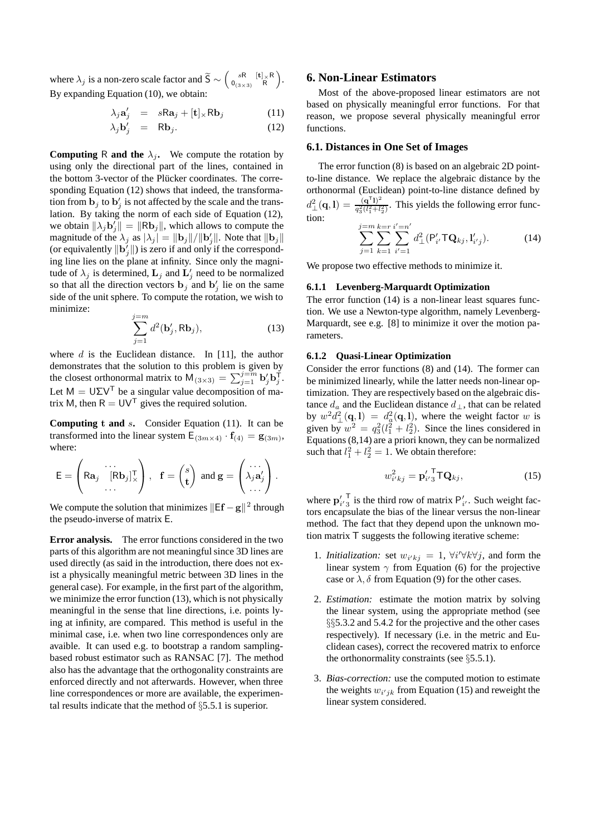where  $\lambda_j$  is a non-zero scale factor and  $\widetilde{S} \sim \begin{pmatrix} sR & [\mathbf{t}] \times R \\ 0_{(3 \times 3)} & R \end{pmatrix}$  $0_{(3\times3)}$  R . By expanding Equation (10), we obtain:

$$
\lambda_j \mathbf{a}'_j = s \mathsf{R} \mathbf{a}_j + [\mathbf{t}] \times \mathsf{R} \mathbf{b}_j \tag{11}
$$

$$
\lambda_j \mathbf{b}'_j = \mathbf{R} \mathbf{b}_j. \tag{12}
$$

**Computing** R **and the**  $\lambda_i$ . We compute the rotation by using only the directional part of the lines, contained in the bottom 3-vector of the Plücker coordinates. The corresponding Equation (12) shows that indeed, the transformation from  $\mathbf{b}_j$  to  $\mathbf{b}'_j$  is not affected by the scale and the trans-<br>lation. By taking the norm of each side of Equation (12) lation. By taking the norm of each side of Equation (12), we obtain  $\|\lambda_j \mathbf{b}_j'\| = \|\mathbf{R} \mathbf{b}_j\|$ , which allows to compute the magnitude of the  $\lambda_j$  as  $\|\lambda_j\| = \|\mathbf{b}_j\|/\|\mathbf{b}_j'\|$ . Note that  $\|\mathbf{b}_j\|$ magnitude of the  $\lambda_j$  as  $|\lambda_j| = ||\mathbf{b}_j||/||\mathbf{b}_j'||$ . Note that  $||\mathbf{b}_j||$  (or equivalently  $||\mathbf{b}'||$ ) is zero if and only if the correspond-(or equivalently  $\|\mathbf{b}'_j\|$ ) is zero if and only if the correspond-<br>ing line lies on the plane at infinity. Since only the magniing line lies on the plane at infinity. Since only the magnitude of  $\lambda_j$  is determined,  $\mathbf{L}_j$  and  $\mathbf{L}'_j$  need to be normalized<br>so that all the direction vectors **b** and **b**', lie on the same so that all the direction vectors  $\mathbf{b}_j$  and  $\mathbf{b}'_j$  lie on the same<br>side of the unit sphere. To compute the rotation, we wish to side of the unit sphere. To compute the rotation, we wish to minimize:

$$
\sum_{j=1}^{j=m} d^2(\mathbf{b}'_j, \mathbf{R}\mathbf{b}_j),\tag{13}
$$

where  $d$  is the Euclidean distance. In [11], the author demonstrates that the solution to this problem is given by the closest orthonormal matrix to  $M_{(3\times3)} = \sum_{j=1}^{j=m} b_j' b_j^{\mathsf{T}}$ . Let  $M = U\Sigma V^{T}$  be a singular value decomposition of matrix M, then  $R = UV^T$  gives the required solution.

**Computing t and** <sup>s</sup>**.** Consider Equation (11). It can be transformed into the linear system  $E_{(3m \times 4)} \cdot \mathbf{f}_{(4)} = \mathbf{g}_{(3m)}$ , where:

$$
\mathsf{E} = \left( \mathsf{R} \mathbf{a}_{j} \left[ \begin{matrix} \mathsf{R} \mathbf{b}_{j} \end{matrix} \right]_{\times}^{\mathsf{T}} \right), \quad \mathbf{f} = \begin{pmatrix} s \\ \mathbf{t} \end{pmatrix} \text{ and } \mathbf{g} = \begin{pmatrix} \dots \\ \lambda_{j} \mathbf{a}_{j}' \end{pmatrix}.
$$

We compute the solution that minimizes  $\|\mathsf{E}\mathbf{f} - \mathbf{g}\|^2$  through the pseudo-inverse of matrix  $\mathsf{F}$ the pseudo-inverse of matrix E.

**Error analysis.** The error functions considered in the two parts of this algorithm are not meaningful since 3D lines are used directly (as said in the introduction, there does not exist a physically meaningful metric between 3D lines in the general case). For example, in the first part of the algorithm, we minimize the error function (13), which is not physically meaningful in the sense that line directions, i.e. points lying at infinity, are compared. This method is useful in the minimal case, i.e. when two line correspondences only are avaible. It can used e.g. to bootstrap a random samplingbased robust estimator such as RANSAC [7]. The method also has the advantage that the orthogonality constraints are enforced directly and not afterwards. However, when three line correspondences or more are available, the experimental results indicate that the method of §5.5.1 is superior.

### **6. Non-Linear Estimators**

Most of the above-proposed linear estimators are not based on physically meaningful error functions. For that reason, we propose several physically meaningful error functions.

### **6.1. Distances in One Set of Images**

The error function (8) is based on an algebraic 2D pointto-line distance. We replace the algebraic distance by the orthonormal (Euclidean) point-to-line distance defined by  $d_{\perp}^2(\mathbf{q}, \mathbf{l}) = \frac{(\mathbf{q}^T \mathbf{l})^2}{q_3^2(l_1^2 + l_2^2)}$ . This yields the following error function:  $\sum^{j=m}$  $k=r$  $\sum_{n=1}^{n}$ 

 $j=1$  $\sum$  $k=1$  $i'=1$  $d_{\perp}^{2} (P'_{i'} \mathsf{T} \mathbf{Q}_{kj}, \mathbf{l}'_{i'j}).$  (14)

We propose two effective methods to minimize it.

### **6.1.1 Levenberg-Marquardt Optimization**

The error function  $(14)$  is a non-linear least squares function. We use a Newton-type algorithm, namely Levenberg-Marquardt, see e.g. [8] to minimize it over the motion parameters.

#### **6.1.2 Quasi-Linear Optimization**

Consider the error functions (8) and (14). The former can be minimized linearly, while the latter needs non-linear optimization. They are respectively based on the algebraic distance  $d_a$  and the Euclidean distance  $d_{\perp}$ , that can be related by  $w^2 d_{\perp}^2(\mathbf{q}, \mathbf{l}) = d_a^2(\mathbf{q}, \mathbf{l})$ , where the weight factor w is given by  $w^2 = a^2(l^2 + l^2)$ . Since the lines considered in given by  $w^2 = q_3^2(l_1^2 + l_2^2)$ . Since the lines considered in Equations (8,14) are a priori known, they can be normalized such that  $l_1^2 + l_2^2 = 1$ . We obtain therefore:

$$
w_{i'kj}^2 = \mathbf{p}_{i'3}^{\prime \text{T}} \mathbf{T} \mathbf{Q}_{kj}, \qquad (15)
$$

where  $\mathbf{p}'_i$ <sup>T</sup> is the third row of matrix  $\mathbf{P}'_i$ . Such weight factors encapsulate the hige of the linear versus the non-linear tors encapsulate the bias of the linear versus the non-linear method. The fact that they depend upon the unknown motion matrix T suggests the following iterative scheme:

- 1. *Initialization:* set  $w_{i'kj} = 1$ ,  $\forall i' \forall k \forall j$ , and form the linear system  $\gamma$  from Equation (6) for the projective case or  $\lambda$ ,  $\delta$  from Equation (9) for the other cases.
- 2. *Estimation:* estimate the motion matrix by solving the linear system, using the appropriate method (see §§5.3.2 and 5.4.2 for the projective and the other cases respectively). If necessary (i.e. in the metric and Euclidean cases), correct the recovered matrix to enforce the orthonormality constraints (see  $\S 5.5.1$ ).
- 3. *Bias-correction:* use the computed motion to estimate the weights  $w_{i'jk}$  from Equation (15) and reweight the linear system considered.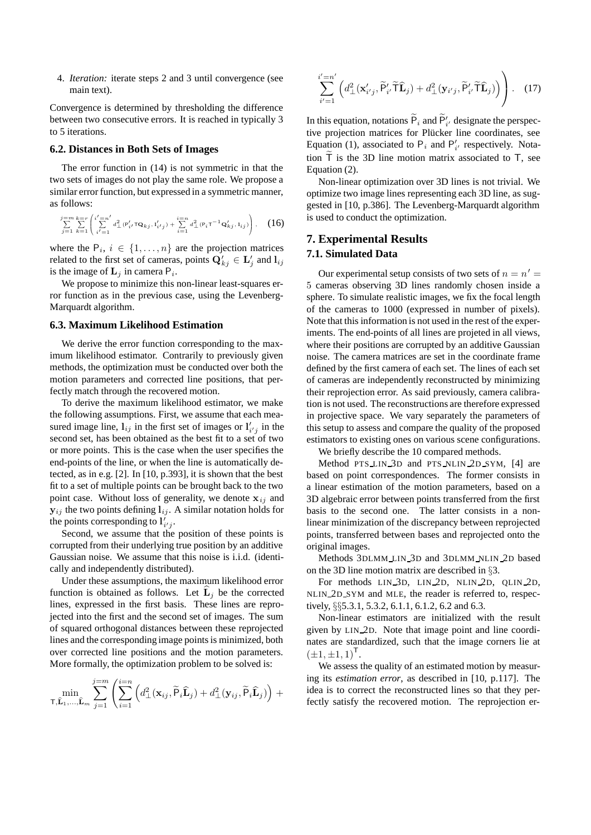4. *Iteration:* iterate steps 2 and 3 until convergence (see main text).

Convergence is determined by thresholding the difference between two consecutive errors. It is reached in typically 3 to 5 iterations.

#### **6.2. Distances in Both Sets of Images**

The error function in (14) is not symmetric in that the two sets of images do not play the same role. We propose a similar error function, but expressed in a symmetric manner, as follows:

$$
\sum_{j=1}^{j=m} \sum_{k=1}^{k=r} \left( \sum_{i'=1}^{i'=n'} d_{\perp}^2 (\mathbf{P}'_{i'} \mathbf{T} \mathbf{Q}_{kj}, \mathbf{I}'_{i'j}) + \sum_{i=1}^{i=n} d_{\perp}^2 (\mathbf{P}_i \mathbf{T}^{-1} \mathbf{Q}'_{kj}, \mathbf{I}_{ij}) \right), \quad (16)
$$

where the  $P_i$ ,  $i \in \{1, ..., n\}$  are the projection matrices related to the first set of cameras, points  $\mathbf{Q}'_{kj} \in \mathbf{L}'_j$  and  $\mathbf{l}_{ij}$  is the image of **L**, in camera **P**. is the image of  $L_j$  in camera  $P_i$ .

We propose to minimize this non-linear least-squares error function as in the previous case, using the Levenberg-Marquardt algorithm.

### **6.3. Maximum Likelihood Estimation**

We derive the error function corresponding to the maximum likelihood estimator. Contrarily to previously given methods, the optimization must be conducted over both the motion parameters and corrected line positions, that perfectly match through the recovered motion.

To derive the maximum likelihood estimator, we make the following assumptions. First, we assume that each measured image line,  $\mathbf{l}_{ij}$  in the first set of images or  $\mathbf{l}'_{i'j}$  in the second set has been obtained as the best fit to a set of two second set, has been obtained as the best fit to a set of two or more points. This is the case when the user specifies the end-points of the line, or when the line is automatically detected, as in e.g. [2]. In [10, p.393], it is shown that the best fit to a set of multiple points can be brought back to the two point case. Without loss of generality, we denote  $x_{ij}$  and  $y_{ij}$  the two points defining  $l_{ij}$ . A similar notation holds for the points corresponding to  $\mathbf{l}'_{i'j}$ .<br>
Second we assume that the

Second, we assume that the position of these points is corrupted from their underlying true position by an additive Gaussian noise. We assume that this noise is i.i.d. (identically and independently distributed).

Under these assumptions, the maximum likelihood error function is obtained as follows. Let  $\hat{\mathbf{L}}_i$  be the corrected lines, expressed in the first basis. These lines are reprojected into the first and the second set of images. The sum of squared orthogonal distances between these reprojected lines and the corresponding image points is minimized, both over corrected line positions and the motion parameters. More formally, the optimization problem to be solved is:

$$
\min_{\mathbf{\tau}, \mathbf{\hat{L}}_1, \dots, \mathbf{\hat{L}}_m} \sum_{j=1}^{j=m} \left( \sum_{i=1}^{i=n} \left( d_{\perp}^2(\mathbf{x}_{ij}, \widetilde{\mathsf{P}}_i \widehat{\mathbf{L}}_j) + d_{\perp}^2(\mathbf{y}_{ij}, \widetilde{\mathsf{P}}_i \widehat{\mathbf{L}}_j) \right) + \right.
$$

$$
\sum_{i'=1}^{i'=n'} \left( d^2_{\perp}(\mathbf{x}'_{i'j}, \widetilde{P}'_{i'} \widetilde{T} \widehat{\mathbf{L}}_j) + d^2_{\perp}(\mathbf{y}_{i'j}, \widetilde{P}'_{i'} \widetilde{T} \widehat{\mathbf{L}}_j) \right) \right).
$$
 (17)

In this equation, notations  $P_i$  and  $P'_i$  designate the perspective projection matrices for Plücker line coordinates, see Equation (1), associated to  $P_i$  and  $P'_{i'}$  respectively. Notation  $\tilde{T}$  is the 3D line motion matrix associated to T, see Equation (2).

Non-linear optimization over 3D lines is not trivial. We optimize two image lines representing each 3D line, as suggested in [10, p.386]. The Levenberg-Marquardt algorithm is used to conduct the optimization.

### **7. Experimental Results**

#### **7.1. Simulated Data**

Our experimental setup consists of two sets of  $n = n'$ 5 cameras observing 3D lines randomly chosen inside a sphere. To simulate realistic images, we fix the focal length of the cameras to 1000 (expressed in number of pixels). Note that this information is not used in the rest of the experiments. The end-points of all lines are projeted in all views, where their positions are corrupted by an additive Gaussian noise. The camera matrices are set in the coordinate frame defined by the first camera of each set. The lines of each set of cameras are independently reconstructed by minimizing their reprojection error. As said previously, camera calibration is not used. The reconstructions are therefore expressed in projective space. We vary separately the parameters of this setup to assess and compare the quality of the proposed estimators to existing ones on various scene configurations.

We briefly describe the 10 compared methods.

Method PTS LIN 3D and PTS NLIN 2D SYM, [4] are based on point correspondences. The former consists in a linear estimation of the motion parameters, based on a 3D algebraic error between points transferred from the first basis to the second one. The latter consists in a nonlinear minimization of the discrepancy between reprojected points, transferred between bases and reprojected onto the original images.

Methods 3DLMM LIN 3D and 3DLMM NLIN 2D based on the 3D line motion matrix are described in §3.

For methods LIN 3D, LIN 2D, NLIN 2D, QLIN 2D, NLIN 2D SYM and MLE, the reader is referred to, respectively, §§5.3.1, 5.3.2, 6.1.1, 6.1.2, 6.2 and 6.3.

Non-linear estimators are initialized with the result given by LIN 2D. Note that image point and line coordinates are standardized, such that the image corners lie at  $(\pm 1, \pm 1, 1)^{\mathsf{T}}$ .

We assess the quality of an estimated motion by measuring its *estimation error*, as described in [10, p.117]. The idea is to correct the reconstructed lines so that they perfectly satisfy the recovered motion. The reprojection er-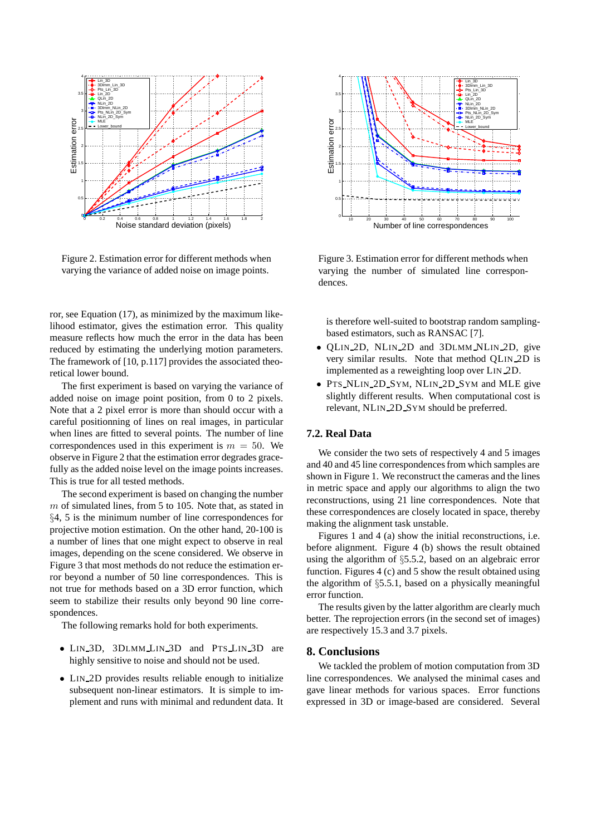

Figure 2. Estimation error for different methods when varying the variance of added noise on image points.

ror, see Equation (17), as minimized by the maximum likelihood estimator, gives the estimation error. This quality measure reflects how much the error in the data has been reduced by estimating the underlying motion parameters. The framework of [10, p.117] provides the associated theoretical lower bound.

The first experiment is based on varying the variance of added noise on image point position, from 0 to 2 pixels. Note that a 2 pixel error is more than should occur with a careful positionning of lines on real images, in particular when lines are fitted to several points. The number of line correspondences used in this experiment is  $m = 50$ . We observe in Figure 2 that the estimation error degrades gracefully as the added noise level on the image points increases. This is true for all tested methods.

The second experiment is based on changing the number  $m$  of simulated lines, from 5 to 105. Note that, as stated in §4, 5 is the minimum number of line correspondences for projective motion estimation. On the other hand, 20-100 is a number of lines that one might expect to observe in real images, depending on the scene considered. We observe in Figure 3 that most methods do not reduce the estimation error beyond a number of 50 line correspondences. This is not true for methods based on a 3D error function, which seem to stabilize their results only beyond 90 line correspondences.

The following remarks hold for both experiments.

- LIN\_3D, 3DLMM\_LIN\_3D and PTS\_LIN\_3D are highly sensitive to noise and should not be used.
- LIN\_2D provides results reliable enough to initialize subsequent non-linear estimators. It is simple to implement and runs with minimal and redundent data. It



Figure 3. Estimation error for different methods when varying the number of simulated line correspondences.

is therefore well-suited to bootstrap random samplingbased estimators, such as RANSAC [7].

- OLIN<sub>2D</sub>, NLIN<sub>2D</sub> and 3DLMM\_NLIN<sub>2D</sub>, give very similar results. Note that method QLIN 2D is implemented as a reweighting loop over LIN 2D.
- PTS\_NLIN\_2D\_SYM, NLIN\_2D\_SYM and MLE give slightly different results. When computational cost is relevant, NLIN 2D SYM should be preferred.

## **7.2. Real Data**

We consider the two sets of respectively 4 and 5 images and 40 and 45 line correspondences from which samples are shown in Figure 1. We reconstruct the cameras and the lines in metric space and apply our algorithms to align the two reconstructions, using 21 line correspondences. Note that these correspondences are closely located in space, thereby making the alignment task unstable.

Figures 1 and 4 (a) show the initial reconstructions, i.e. before alignment. Figure 4 (b) shows the result obtained using the algorithm of §5.5.2, based on an algebraic error function. Figures 4 (c) and 5 show the result obtained using the algorithm of §5.5.1, based on a physically meaningful error function.

The results given by the latter algorithm are clearly much better. The reprojection errors (in the second set of images) are respectively 15.3 and 3.7 pixels.

## **8. Conclusions**

We tackled the problem of motion computation from 3D line correspondences. We analysed the minimal cases and gave linear methods for various spaces. Error functions expressed in 3D or image-based are considered. Several